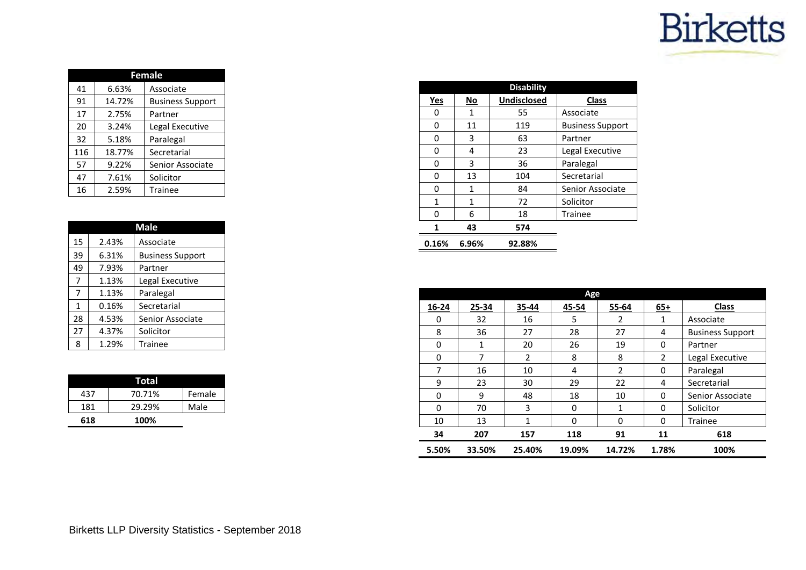## **Birketts**

|     | <b>Female</b> |                         |  |  |  |  |  |  |  |  |
|-----|---------------|-------------------------|--|--|--|--|--|--|--|--|
| 41  | 6.63%         | Associate               |  |  |  |  |  |  |  |  |
| 91  | 14.72%        | <b>Business Support</b> |  |  |  |  |  |  |  |  |
| 17  | 2.75%         | Partner                 |  |  |  |  |  |  |  |  |
| 20  | 3.24%         | Legal Executive         |  |  |  |  |  |  |  |  |
| 32  | 5.18%         | Paralegal               |  |  |  |  |  |  |  |  |
| 116 | 18.77%        | Secretarial             |  |  |  |  |  |  |  |  |
| 57  | 9.22%         | Senior Associate        |  |  |  |  |  |  |  |  |
| 47  | 7.61%         | Solicitor               |  |  |  |  |  |  |  |  |
| 16  | 2.59%         | Trainee                 |  |  |  |  |  |  |  |  |

| <b>Male</b> |       |                         |  |  |  |  |  |  |  |
|-------------|-------|-------------------------|--|--|--|--|--|--|--|
| 15          | 2.43% | Associate               |  |  |  |  |  |  |  |
| 39          | 6.31% | <b>Business Support</b> |  |  |  |  |  |  |  |
| 49          | 7.93% | Partner                 |  |  |  |  |  |  |  |
| 7           | 1.13% | Legal Executive         |  |  |  |  |  |  |  |
| 7           | 1.13% | Paralegal               |  |  |  |  |  |  |  |
| 1           | 0.16% | Secretarial             |  |  |  |  |  |  |  |
| 28          | 4.53% | Senior Associate        |  |  |  |  |  |  |  |
| 27          | 4.37% | Solicitor               |  |  |  |  |  |  |  |
| 8           | 1.29% | Trainee                 |  |  |  |  |  |  |  |

|     | Total  |        |
|-----|--------|--------|
| 437 | 70.71% | Female |
| 181 | 29.29% | Male   |
| 618 | 100%   |        |

|       | <b>Disability</b> |             |                         |  |  |  |  |  |  |  |  |
|-------|-------------------|-------------|-------------------------|--|--|--|--|--|--|--|--|
| Yes   | No                | Undisclosed | <b>Class</b>            |  |  |  |  |  |  |  |  |
| ი     | 1                 | 55          | Associate               |  |  |  |  |  |  |  |  |
| 0     | 11                | 119         | <b>Business Support</b> |  |  |  |  |  |  |  |  |
| 0     | 3                 | 63          | Partner                 |  |  |  |  |  |  |  |  |
| ი     | 4                 | 23          | Legal Executive         |  |  |  |  |  |  |  |  |
| ი     | 3                 | 36          | Paralegal               |  |  |  |  |  |  |  |  |
| 0     | 13                | 104         | Secretarial             |  |  |  |  |  |  |  |  |
| 0     | 1                 | 84          | Senior Associate        |  |  |  |  |  |  |  |  |
| 1     | 1                 | 72          | Solicitor               |  |  |  |  |  |  |  |  |
| ი     | 6                 | 18          | <b>Trainee</b>          |  |  |  |  |  |  |  |  |
|       | 43                | 574         |                         |  |  |  |  |  |  |  |  |
| 0.16% | 6.96%             | 92.88%      |                         |  |  |  |  |  |  |  |  |

| Age   |        |        |        |                |          |                         |  |  |  |  |  |
|-------|--------|--------|--------|----------------|----------|-------------------------|--|--|--|--|--|
| 16-24 | 25-34  | 35-44  | 45-54  | 55-64          | $65+$    | <b>Class</b>            |  |  |  |  |  |
| 0     | 32     | 16     | 5      | 2              | 1        | Associate               |  |  |  |  |  |
| 8     | 36     | 27     | 28     | 27             | 4        | <b>Business Support</b> |  |  |  |  |  |
| 0     | 1      | 20     | 26     | 19             | 0        | Partner                 |  |  |  |  |  |
| 0     | 7      | 2      | 8      | 8              | 2        | Legal Executive         |  |  |  |  |  |
| 7     | 16     | 10     | 4      | $\overline{2}$ | $\Omega$ | Paralegal               |  |  |  |  |  |
| 9     | 23     | 30     | 29     | 22             | 4        | Secretarial             |  |  |  |  |  |
| 0     | 9      | 48     | 18     | 10             | $\Omega$ | Senior Associate        |  |  |  |  |  |
| 0     | 70     | 3      | 0      | 1              | 0        | Solicitor               |  |  |  |  |  |
| 10    | 13     | 1      | 0      | $\Omega$       | $\Omega$ | <b>Trainee</b>          |  |  |  |  |  |
| 34    | 207    | 157    | 118    | 91             | 11       | 618                     |  |  |  |  |  |
| 5.50% | 33.50% | 25.40% | 19.09% | 14.72%         | 1.78%    | 100%                    |  |  |  |  |  |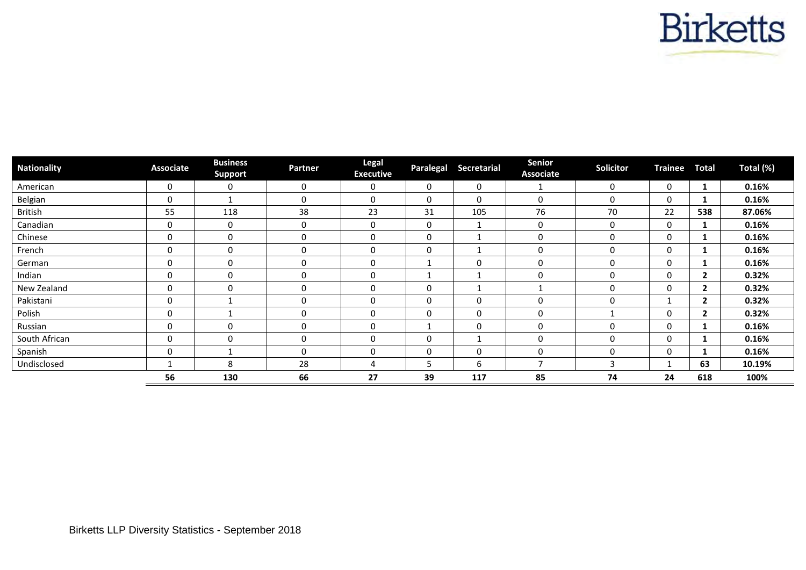

| <b>Nationality</b> | <b>Associate</b> | <b>Business</b><br><b>Support</b> | Partner     | Legal<br><b>Executive</b> | Paralegal    | <b>Secretarial</b> | Senior<br><b>Associate</b> | Solicitor   | <b>Trainee</b> | Total        | Total (%) |
|--------------------|------------------|-----------------------------------|-------------|---------------------------|--------------|--------------------|----------------------------|-------------|----------------|--------------|-----------|
| American           | 0                | 0                                 | $\mathbf 0$ | 0                         | $\Omega$     | 0                  |                            | $\mathbf 0$ | $\mathbf{0}$   | 1            | 0.16%     |
| Belgian            | $\mathbf 0$      |                                   | 0           | 0                         | $\mathbf{0}$ | 0                  | 0                          | 0           | 0              |              | 0.16%     |
| British            | 55               | 118                               | 38          | 23                        | 31           | 105                | 76                         | 70          | 22             | 538          | 87.06%    |
| Canadian           | 0                | $\mathbf 0$                       | $\mathbf 0$ | 0                         | 0            |                    | 0                          | 0           | $\mathbf{0}$   | 1            | 0.16%     |
| Chinese            | 0                | $\mathbf{0}$                      | 0           | 0                         | $\Omega$     |                    | 0                          | $\Omega$    | 0              |              | 0.16%     |
| French             | 0                | $\mathbf 0$                       | 0           | 0                         | $\Omega$     |                    | $\mathbf 0$                | $\Omega$    | $\Omega$       |              | 0.16%     |
| German             | $\Omega$         | $\mathbf{0}$                      | $\Omega$    | $\mathbf 0$               | 1            | $\Omega$           | $\mathbf 0$                | $\Omega$    | $\mathbf{0}$   | 1            | 0.16%     |
| Indian             | 0                | $\mathbf 0$                       | 0           | 0                         | 1            |                    | 0                          | $\Omega$    | 0              | $\mathbf{2}$ | 0.32%     |
| New Zealand        | 0                | $\mathbf 0$                       | 0           | 0                         | $\Omega$     | -1                 |                            | $\Omega$    | $\mathbf{0}$   | $\mathbf{2}$ | 0.32%     |
| Pakistani          | 0                |                                   | 0           | 0                         | $\Omega$     | $\Omega$           | 0                          | $\Omega$    |                | $\mathbf{2}$ | 0.32%     |
| Polish             | 0                |                                   | 0           | 0                         | $\Omega$     | $\Omega$           | 0                          |             | 0              | $\mathbf{2}$ | 0.32%     |
| Russian            | 0                | $\mathbf 0$                       | 0           | $\boldsymbol{0}$          |              | 0                  | 0                          | 0           | 0              |              | 0.16%     |
| South African      | 0                | $\mathbf 0$                       | $\mathbf 0$ | 0                         | $\Omega$     | -1                 | 0                          | $\Omega$    | $\mathbf{0}$   | 1            | 0.16%     |
| Spanish            | 0                |                                   | 0           | 0                         | $\mathbf 0$  | 0                  | 0                          | 0           | 0              |              | 0.16%     |
| Undisclosed        |                  | 8                                 | 28          | 4                         | 5            | 6                  | $\overline{\phantom{a}}$   | 3           |                | 63           | 10.19%    |
|                    | 56               | 130                               | 66          | 27                        | 39           | 117                | 85                         | 74          | 24             | 618          | 100%      |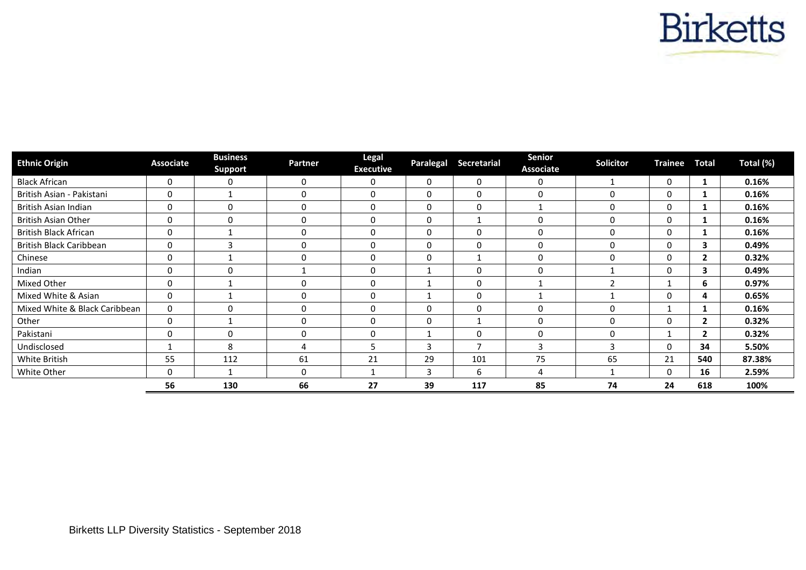

| <b>Ethnic Origin</b>          | <b>Associate</b> | <b>Business</b><br><b>Support</b> | <b>Partner</b> | Legal<br><b>Executive</b> | Paralegal | <b>Secretarial</b> | Senior<br><b>Associate</b> | Solicitor         | <b>Trainee</b> | <b>Total</b> | Total (%) |
|-------------------------------|------------------|-----------------------------------|----------------|---------------------------|-----------|--------------------|----------------------------|-------------------|----------------|--------------|-----------|
| <b>Black African</b>          | 0                | 0                                 | 0              | 0                         | $\Omega$  | 0                  | 0                          |                   | 0              | 1            | 0.16%     |
| British Asian - Pakistani     | 0                |                                   | 0              | 0                         | $\Omega$  | 0                  | 0                          | 0                 | 0              |              | 0.16%     |
| British Asian Indian          | 0                | $\Omega$                          | $\Omega$       | 0                         |           | 0                  | 1                          | 0                 | $\Omega$       |              | 0.16%     |
| British Asian Other           | $\Omega$         | $\Omega$                          | 0              | 0                         | $\Omega$  | -1                 | 0                          | 0                 | $\Omega$       |              | 0.16%     |
| British Black African         | 0                |                                   | $\Omega$       | 0                         | $\Omega$  | $\mathbf 0$        | 0                          | 0                 |                |              | 0.16%     |
| British Black Caribbean       | 0                | ຳ                                 | $\Omega$       | 0                         | $\Omega$  | 0                  | 0                          | 0                 |                | 3            | 0.49%     |
| Chinese                       | 0                |                                   | $\Omega$       | 0                         | $\Omega$  | $\mathbf{1}$       | 0                          | 0                 | $\Omega$       | $\mathbf{2}$ | 0.32%     |
| Indian                        | 0                | $\Omega$                          |                | 0                         |           | 0                  | 0                          |                   | $\Omega$       | 3            | 0.49%     |
| Mixed Other                   | 0                |                                   |                | 0                         |           | 0                  |                            | $\mathbf{\hat{}}$ |                | 6            | 0.97%     |
| Mixed White & Asian           | 0                |                                   | $\Omega$       | 0                         |           | $\mathbf 0$        |                            |                   | $\Omega$       | 4            | 0.65%     |
| Mixed White & Black Caribbean | $\mathbf 0$      | O                                 | $\Omega$       | 0                         |           | $\mathbf 0$        | $\Omega$                   | $\Omega$          |                |              | 0.16%     |
| Other                         | $\mathbf{0}$     |                                   | $\Omega$       | $\mathbf{0}$              |           | -1                 | $\Omega$                   | $\Omega$          | $\Omega$       | $\mathbf{2}$ | 0.32%     |
| Pakistani                     | $\mathbf{0}$     | 0                                 | $\Omega$       | 0                         |           | $\Omega$           | $\Omega$                   | $\Omega$          |                | $\mathbf{2}$ | 0.32%     |
| Undisclosed                   |                  | 8                                 | 4              | 5                         |           |                    | 3                          |                   | $\Omega$       | 34           | 5.50%     |
| White British                 | 55               | 112                               | 61             | 21                        | 29        | 101                | 75                         | 65                | 21             | 540          | 87.38%    |
| White Other                   | $\Omega$         |                                   | $\Omega$       |                           |           | 6                  | 4                          |                   | $\Omega$       | 16           | 2.59%     |
|                               | 56               | 130                               | 66             | 27                        | 39        | 117                | 85                         | 74                | 24             | 618          | 100%      |